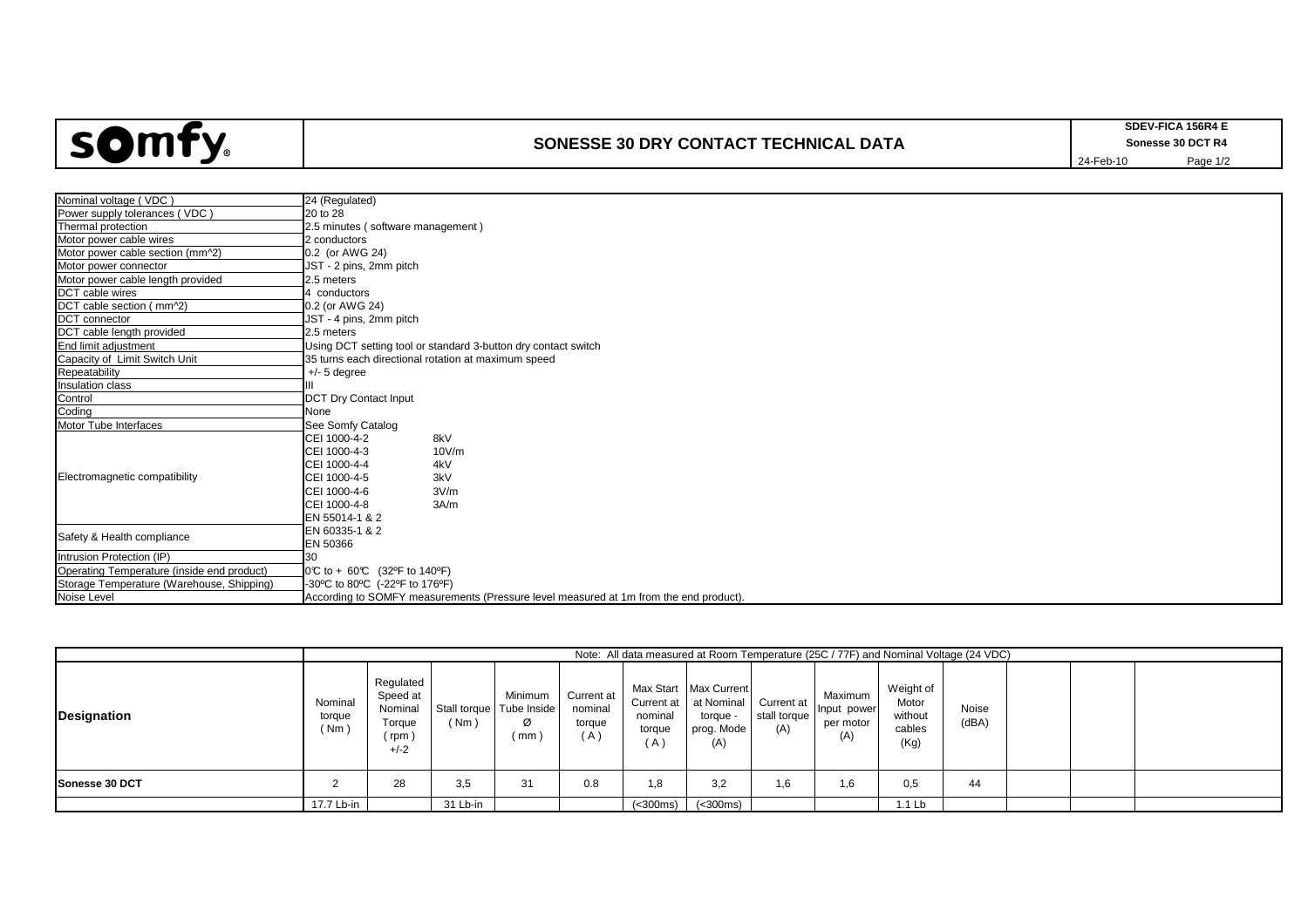

## **SONESSE 30 DRY CONTACT TECHNICAL DATA**

| Nominal voltage (VDC)                      | 24 (Regulated)                                                                        |  |  |  |  |  |  |  |  |  |
|--------------------------------------------|---------------------------------------------------------------------------------------|--|--|--|--|--|--|--|--|--|
| Power supply tolerances (VDC)              | 20 to 28                                                                              |  |  |  |  |  |  |  |  |  |
| Thermal protection                         | 2.5 minutes (software management)                                                     |  |  |  |  |  |  |  |  |  |
| Motor power cable wires                    | 2 conductors                                                                          |  |  |  |  |  |  |  |  |  |
| Motor power cable section (mm^2)           | 0.2 (or AWG 24)                                                                       |  |  |  |  |  |  |  |  |  |
| Motor power connector                      | JST - 2 pins, 2mm pitch                                                               |  |  |  |  |  |  |  |  |  |
| Motor power cable length provided          | 2.5 meters                                                                            |  |  |  |  |  |  |  |  |  |
| DCT cable wires                            | 4 conductors                                                                          |  |  |  |  |  |  |  |  |  |
| DCT cable section (mm^2)                   | 0.2 (or AWG 24)                                                                       |  |  |  |  |  |  |  |  |  |
| DCT connector                              | JST - 4 pins, 2mm pitch                                                               |  |  |  |  |  |  |  |  |  |
| DCT cable length provided                  | 2.5 meters                                                                            |  |  |  |  |  |  |  |  |  |
| End limit adjustment                       | Using DCT setting tool or standard 3-button dry contact switch                        |  |  |  |  |  |  |  |  |  |
| Capacity of Limit Switch Unit              | 35 turns each directional rotation at maximum speed                                   |  |  |  |  |  |  |  |  |  |
| Repeatability                              | $+/- 5$ degree                                                                        |  |  |  |  |  |  |  |  |  |
| Insulation class                           |                                                                                       |  |  |  |  |  |  |  |  |  |
| Control                                    | <b>DCT Dry Contact Input</b>                                                          |  |  |  |  |  |  |  |  |  |
| Coding                                     | None                                                                                  |  |  |  |  |  |  |  |  |  |
| Motor Tube Interfaces                      | See Somfy Catalog                                                                     |  |  |  |  |  |  |  |  |  |
|                                            | CEI 1000-4-2<br>8kV                                                                   |  |  |  |  |  |  |  |  |  |
| Electromagnetic compatibility              | CEI 1000-4-3<br>10V/m                                                                 |  |  |  |  |  |  |  |  |  |
|                                            | CEI 1000-4-4<br>4kV                                                                   |  |  |  |  |  |  |  |  |  |
|                                            | CEI 1000-4-5<br>3kV                                                                   |  |  |  |  |  |  |  |  |  |
|                                            | CEI 1000-4-6<br>3V/m                                                                  |  |  |  |  |  |  |  |  |  |
|                                            | CEI 1000-4-8<br>3A/m                                                                  |  |  |  |  |  |  |  |  |  |
|                                            | EN 55014-1 & 2                                                                        |  |  |  |  |  |  |  |  |  |
| Safety & Health compliance                 | EN 60335-1 & 2                                                                        |  |  |  |  |  |  |  |  |  |
|                                            | EN 50366                                                                              |  |  |  |  |  |  |  |  |  |
| Intrusion Protection (IP)                  | 30                                                                                    |  |  |  |  |  |  |  |  |  |
| Operating Temperature (inside end product) | 0℃ to + 60℃ (32°F to 140°F)                                                           |  |  |  |  |  |  |  |  |  |
| Storage Temperature (Warehouse, Shipping)  | -30°C to 80°C (-22°F to 176°F)                                                        |  |  |  |  |  |  |  |  |  |
| Noise Level                                | According to SOMFY measurements (Pressure level measured at 1m from the end product). |  |  |  |  |  |  |  |  |  |
|                                            |                                                                                       |  |  |  |  |  |  |  |  |  |

|                    |                           | Note: All data measured at Room Temperature (25C / 77F) and Nominal Voltage (24 VDC) |          |                                                   |                                        |                                        |                                                                      |                                   |                                            |                                                 |                       |  |  |  |  |
|--------------------|---------------------------|--------------------------------------------------------------------------------------|----------|---------------------------------------------------|----------------------------------------|----------------------------------------|----------------------------------------------------------------------|-----------------------------------|--------------------------------------------|-------------------------------------------------|-----------------------|--|--|--|--|
| <b>Designation</b> | Nominal<br>torque<br>(Nm) | Regulated<br>Speed at<br>Nominal<br>Torque<br>' rpm<br>$+/-2$                        | (Nm)     | Minimum<br>Stall torque   Tube Inside<br>Ø<br>mm) | Current at<br>nominal<br>torque<br>(A) | Current at<br>nominal<br>torque<br>(A) | Max Start Max Current<br>at Nominal<br>torque -<br>prog. Mode<br>(A) | Current at<br>stall torque<br>(A) | Maximum<br>Input power<br>per motor<br>(A) | Weight of<br>Motor<br>without<br>cables<br>(Kg) | <b>Noise</b><br>(dBA) |  |  |  |  |
| Sonesse 30 DCT     |                           | 28                                                                                   | 3.5      | 31                                                | 0.8                                    | 1,8                                    | 3,2                                                                  | 1,6                               | 1,6                                        | 0,5                                             | 44                    |  |  |  |  |
|                    | 17.7 Lb-in                |                                                                                      | 31 Lb-in |                                                   |                                        | (<300ms)                               | (<300ms)                                                             |                                   |                                            | 1.1 <sub>lb</sub>                               |                       |  |  |  |  |